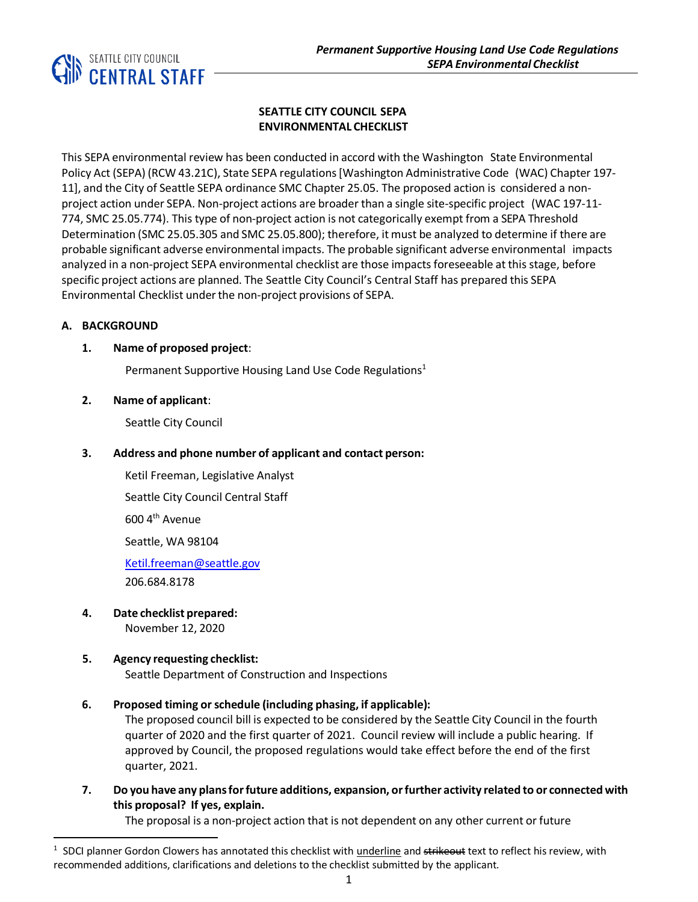

## **SEATTLE CITY COUNCIL SEPA ENVIRONMENTAL CHECKLIST**

This SEPA environmental review has been conducted in accord with the Washington State Environmental Policy Act (SEPA) (RCW 43.21C), State SEPA regulations[Washington Administrative Code (WAC) Chapter 197- 11], and the City of Seattle SEPA ordinance SMC Chapter 25.05. The proposed action is considered a nonproject action under SEPA. Non-project actions are broader than a single site-specific project (WAC 197-11- 774, SMC 25.05.774). This type of non-project action is not categorically exempt from a SEPA Threshold Determination (SMC 25.05.305 and SMC 25.05.800); therefore, it must be analyzed to determine if there are probable significant adverse environmental impacts. The probable significant adverse environmental impacts analyzed in a non-project SEPA environmental checklist are those impacts foreseeable at this stage, before specific project actions are planned. The Seattle City Council's Central Staff has prepared this SEPA Environmental Checklist under the non-project provisions of SEPA.

## **A. BACKGROUND**

## **1. Name of proposed project**:

Permanent Supportive Housing Land Use Code Regulations<sup>1</sup>

## **2. Name of applicant**:

Seattle City Council

## **3. Address and phone number of applicant and contact person:**

Ketil Freeman, Legislative Analyst Seattle City Council Central Staff 600 4th Avenue

Seattle, WA 98104

[Ketil.freeman@seattle.gov](mailto:Ketil.freeman@seattle.gov) 206.684.8178

**4. Date checklist prepared:** November 12, 2020

## **5. Agency requesting checklist:**

Seattle Department of Construction and Inspections

## **6. Proposed timing orschedule (including phasing, if applicable):**

The proposed council bill is expected to be considered by the Seattle City Council in the fourth quarter of 2020 and the first quarter of 2021. Council review will include a public hearing. If approved by Council, the proposed regulations would take effect before the end of the first quarter, 2021.

**7. Do you have any plansforfuture additions, expansion, orfurther activity related to or connected with this proposal? If yes, explain.**

The proposal is a non-project action that is not dependent on any other current or future

<sup>&</sup>lt;sup>1</sup> SDCI planner Gordon Clowers has annotated this checklist with underline and strikeout text to reflect his review, with recommended additions, clarifications and deletions to the checklist submitted by the applicant.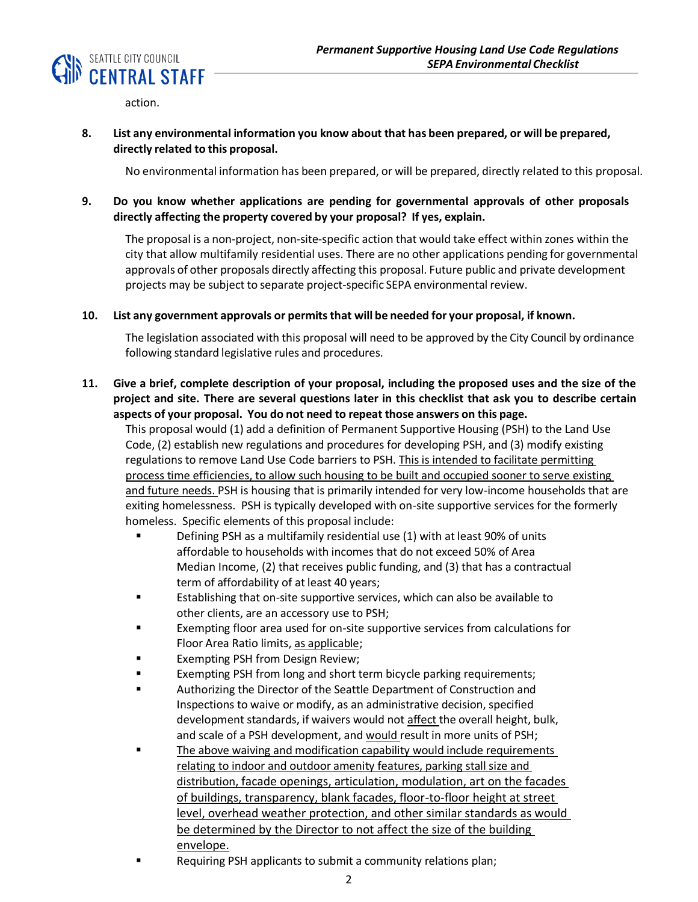

action.

## **8. List any environmental information you know about that has been prepared, or will be prepared, directly related to this proposal.**

No environmental information has been prepared, or will be prepared, directly related to this proposal.

## **9. Do you know whether applications are pending for governmental approvals of other proposals directly affecting the property covered by your proposal? If yes, explain.**

The proposal is a non-project, non-site-specific action that would take effect within zones within the city that allow multifamily residential uses. There are no other applications pending for governmental approvals of other proposals directly affecting this proposal. Future public and private development projects may be subject to separate project-specific SEPA environmental review.

#### **10. List any government approvals or permitsthat will be needed for your proposal, if known.**

The legislation associated with this proposal will need to be approved by the City Council by ordinance following standard legislative rules and procedures.

## 11. Give a brief, complete description of your proposal, including the proposed uses and the size of the **project and site. There are several questions later in this checklist that ask you to describe certain aspects of your proposal. You do not need to repeat those answers on this page.**

This proposal would (1) add a definition of Permanent Supportive Housing (PSH) to the Land Use Code, (2) establish new regulations and procedures for developing PSH, and (3) modify existing regulations to remove Land Use Code barriers to PSH. This is intended to facilitate permitting process time efficiencies, to allow such housing to be built and occupied sooner to serve existing and future needs. PSH is housing that is primarily intended for very low-income households that are exiting homelessness. PSH is typically developed with on-site supportive services for the formerly homeless. Specific elements of this proposal include:

- Defining PSH as a multifamily residential use (1) with at least 90% of units affordable to households with incomes that do not exceed 50% of Area Median Income, (2) that receives public funding, and (3) that has a contractual term of affordability of at least 40 years;
- Establishing that on-site supportive services, which can also be available to other clients, are an accessory use to PSH;
- Exempting floor area used for on-site supportive services from calculations for Floor Area Ratio limits, as applicable;
- Exempting PSH from Design Review;
- Exempting PSH from long and short term bicycle parking requirements;
- Authorizing the Director of the Seattle Department of Construction and Inspections to waive or modify, as an administrative decision, specified development standards, if waivers would not affect the overall height, bulk, and scale of a PSH development, and would result in more units of PSH;
- The above waiving and modification capability would include requirements relating to indoor and outdoor amenity features, parking stall size and distribution, facade openings, articulation, modulation, art on the facades of buildings, transparency, blank facades, floor-to-floor height at street level, overhead weather protection, and other similar standards as would be determined by the Director to not affect the size of the building envelope.
- Requiring PSH applicants to submit a community relations plan;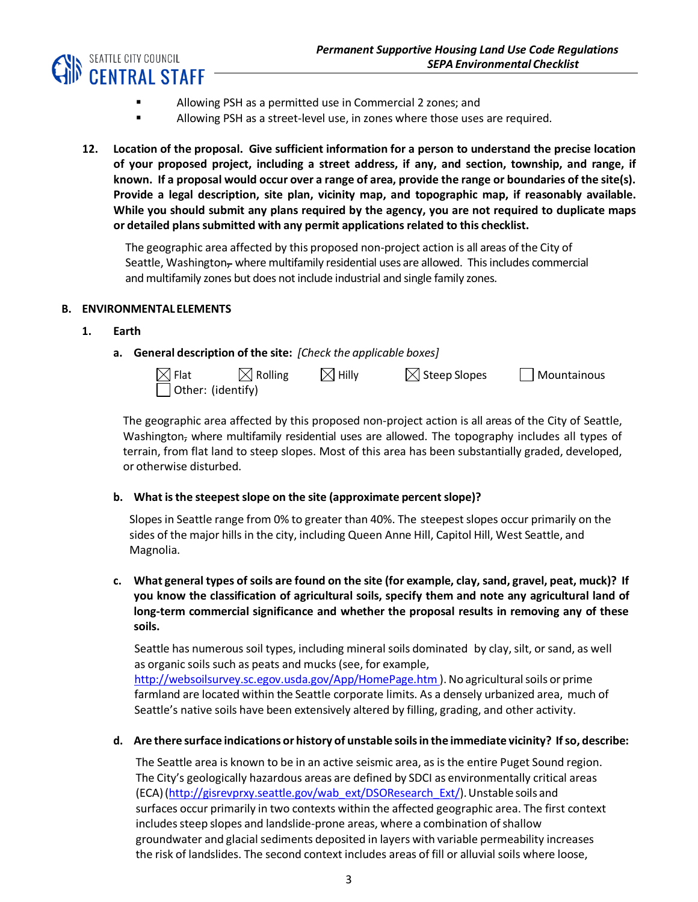

- Allowing PSH as a permitted use in Commercial 2 zones; and
- Allowing PSH as a street-level use, in zones where those uses are required.
- **12. Location of the proposal. Give sufficient information for a person to understand the precise location of your proposed project, including a street address, if any, and section, township, and range, if** known. If a proposal would occur over a range of area, provide the range or boundaries of the site(s). **Provide a legal description, site plan, vicinity map, and topographic map, if reasonably available. While you should submit any plans required by the agency, you are not required to duplicate maps or detailed planssubmitted with any permit applicationsrelated to this checklist.**

The geographic area affected by this proposed non-project action is all areas of the City of Seattle, Washington<sub> $\tau$ </sub> where multifamily residential uses are allowed. This includes commercial and multifamily zones but does not include industrial and single family zones.

## **B. ENVIRONMENTALELEMENTS**

- **1. Earth**
	- **a. General description of the site:** *[Check the applicable boxes]*

| $\boxtimes$ Flat  | $\boxtimes$ Rolling | $\boxtimes$ Hilly | $\boxtimes$ Steep Slopes | $\Box$ Mountainous |
|-------------------|---------------------|-------------------|--------------------------|--------------------|
| Other: (identify) |                     |                   |                          |                    |

The geographic area affected by this proposed non-project action is all areas of the City of Seattle, Washington, where multifamily residential uses are allowed. The topography includes all types of terrain, from flat land to steep slopes. Most of this area has been substantially graded, developed, or otherwise disturbed.

## **b. What isthe steepestslope on the site (approximate percentslope)?**

Slopes in Seattle range from 0% to greater than 40%. The steepestslopes occur primarily on the sides of the major hills in the city, including Queen Anne Hill, Capitol Hill, West Seattle, and Magnolia.

c. What general types of soils are found on the site (for example, clay, sand, gravel, peat, muck)? If **you know the classification of agricultural soils, specify them and note any agricultural land of long-term commercial significance and whether the proposal results in removing any of these soils.**

Seattle has numerous soil types, including mineral soils dominated by clay, silt, or sand, as well as organic soils such as peats and mucks (see, for example, <http://websoilsurvey.sc.egov.usda.gov/App/HomePage.htm> ). No agricultural soils or prime farmland are located within the Seattle corporate limits. As a densely urbanized area, much of Seattle's native soils have been extensively altered by filling, grading, and other activity.

## **d. Are there surface indications or history of unstable soilsin the immediate vicinity? Ifso, describe:**

The Seattle area is known to be in an active seismic area, as is the entire Puget Sound region. The City's geologically hazardous areas are defined by SDCI as environmentally critical areas (ECA)[\(http://gisrevprxy.seattle.gov/wab\\_ext/DSOResearch\\_Ext/\)](http://gisrevprxy.seattle.gov/wab_ext/DSOResearch_Ext/).Unstable soils and surfaces occur primarily in two contexts within the affected geographic area. The first context includes steep slopes and landslide-prone areas, where a combination of shallow groundwater and glacial sediments deposited in layers with variable permeability increases the risk of landslides. The second context includes areas of fill or alluvial soils where loose,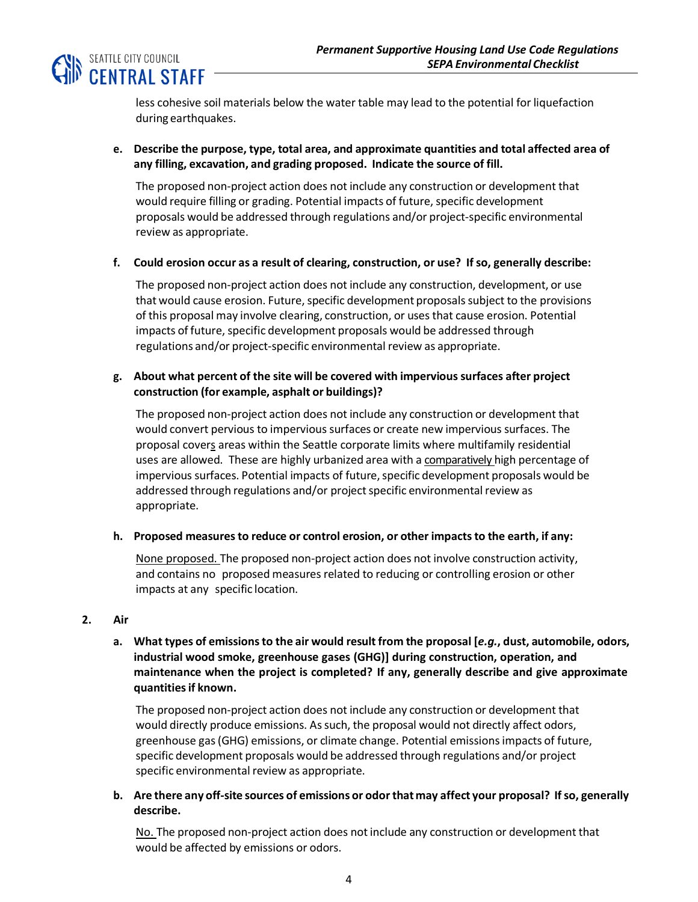

less cohesive soil materials below the water table may lead to the potential for liquefaction during earthquakes.

**e. Describe the purpose, type, total area, and approximate quantities and total affected area of any filling, excavation, and grading proposed. Indicate the source of fill.**

The proposed non-project action does not include any construction or development that would require filling or grading. Potential impacts of future, specific development proposals would be addressed through regulations and/or project-specific environmental review as appropriate.

**f. Could erosion occur as a result of clearing, construction, or use? If so, generally describe:**

The proposed non-project action does not include any construction, development, or use that would cause erosion. Future, specific development proposals subject to the provisions of this proposal may involve clearing, construction, or uses that cause erosion. Potential impacts of future, specific development proposals would be addressed through regulations and/or project-specific environmental review as appropriate.

## **g. About what percent of the site will be covered with impervioussurfaces after project construction (for example, asphalt or buildings)?**

The proposed non-project action does not include any construction or development that would convert pervious to impervious surfaces or create new impervious surfaces. The proposal covers areas within the Seattle corporate limits where multifamily residential uses are allowed. These are highly urbanized area with a comparatively high percentage of impervious surfaces. Potential impacts of future, specific development proposals would be addressed through regulations and/or project specific environmental review as appropriate.

**h. Proposed measuresto reduce or control erosion, or other impactsto the earth, if any:**

None proposed. The proposed non-project action does not involve construction activity, and contains no proposed measures related to reducing or controlling erosion or other impacts at any specific location.

## **2. Air**

a. What types of emissions to the air would result from the proposal [e.g., dust, automobile, odors, **industrial wood smoke, greenhouse gases (GHG)] during construction, operation, and maintenance when the project is completed? If any, generally describe and give approximate quantitiesif known.**

The proposed non-project action does not include any construction or development that would directly produce emissions. As such, the proposal would not directly affect odors, greenhouse gas(GHG) emissions, or climate change. Potential emissionsimpacts of future, specific development proposals would be addressed through regulations and/or project specific environmental review as appropriate.

**b. Are there any off-site sources of emissions or odorthatmay affect your proposal? Ifso, generally describe.**

No. The proposed non-project action does not include any construction or development that would be affected by emissions or odors.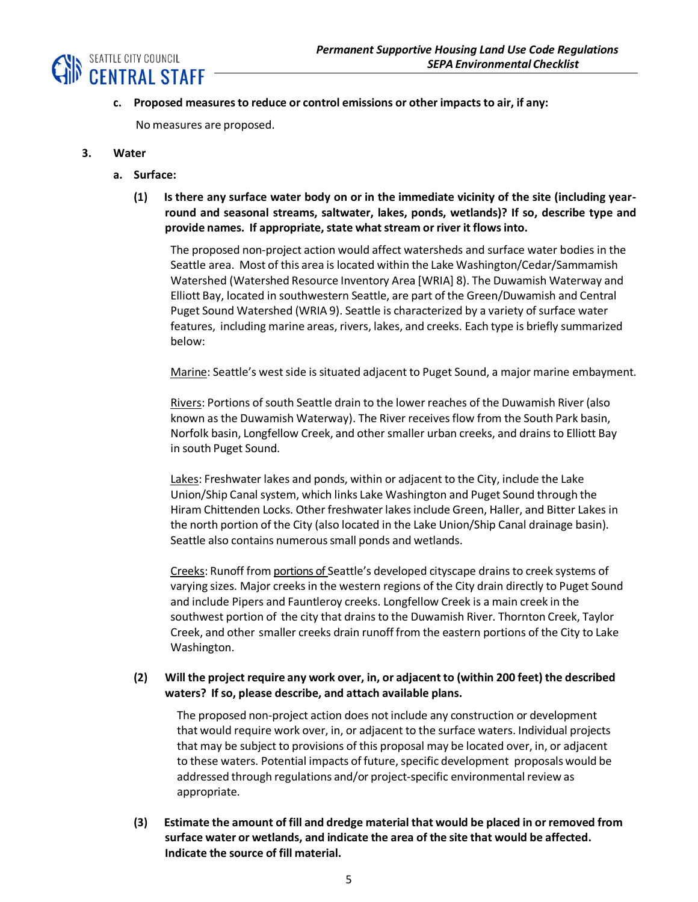

**c. Proposed measuresto reduce or control emissions or other impactsto air, if any:**

No measures are proposed.

- **3. Water**
	- **a. Surface:**
		- **(1) Is there any surface water body on or in the immediate vicinity of the site (including yearround and seasonal streams, saltwater, lakes, ponds, wetlands)? If so, describe type and provide names. If appropriate, state whatstream or river it flowsinto.**

The proposed non-project action would affect watersheds and surface water bodies in the Seattle area. Most of this area is located within the Lake Washington/Cedar/Sammamish Watershed (Watershed Resource Inventory Area [WRIA] 8). The Duwamish Waterway and Elliott Bay, located in southwestern Seattle, are part of the Green/Duwamish and Central Puget Sound Watershed (WRIA 9). Seattle is characterized by a variety of surface water features, including marine areas, rivers, lakes, and creeks. Each type is briefly summarized below:

Marine: Seattle's west side is situated adjacent to Puget Sound, a major marine embayment.

Rivers: Portions of south Seattle drain to the lower reaches of the Duwamish River (also known as the Duwamish Waterway). The River receivesflow from the South Park basin, Norfolk basin, Longfellow Creek, and other smaller urban creeks, and drains to Elliott Bay in south Puget Sound.

Lakes: Freshwater lakes and ponds, within or adjacent to the City, include the Lake Union/Ship Canal system, which links Lake Washington and Puget Sound through the Hiram Chittenden Locks. Other freshwater lakesinclude Green, Haller, and Bitter Lakes in the north portion of the City (also located in the Lake Union/Ship Canal drainage basin). Seattle also contains numerous small ponds and wetlands.

Creeks: Runoff from portions of Seattle's developed cityscape drains to creek systems of varying sizes. Major creeks in the western regions of the City drain directly to Puget Sound and include Pipers and Fauntleroy creeks. Longfellow Creek is a main creek in the southwest portion of the city that drains to the Duwamish River. Thornton Creek, Taylor Creek, and other smaller creeks drain runoff from the eastern portions of the City to Lake Washington.

## **(2) Will the project require any work over, in, or adjacent to (within 200 feet) the described waters? If so, please describe, and attach available plans.**

The proposed non-project action does notinclude any construction or development that would require work over, in, or adjacent to the surface waters. Individual projects that may be subject to provisions of this proposal may be located over, in, or adjacent to these waters. Potential impacts of future, specific development proposals would be addressed through regulations and/or project-specific environmental review as appropriate.

**(3) Estimate the amount of fill and dredge material that would be placed in or removed from surface water or wetlands, and indicate the area of the site that would be affected. Indicate the source of fill material.**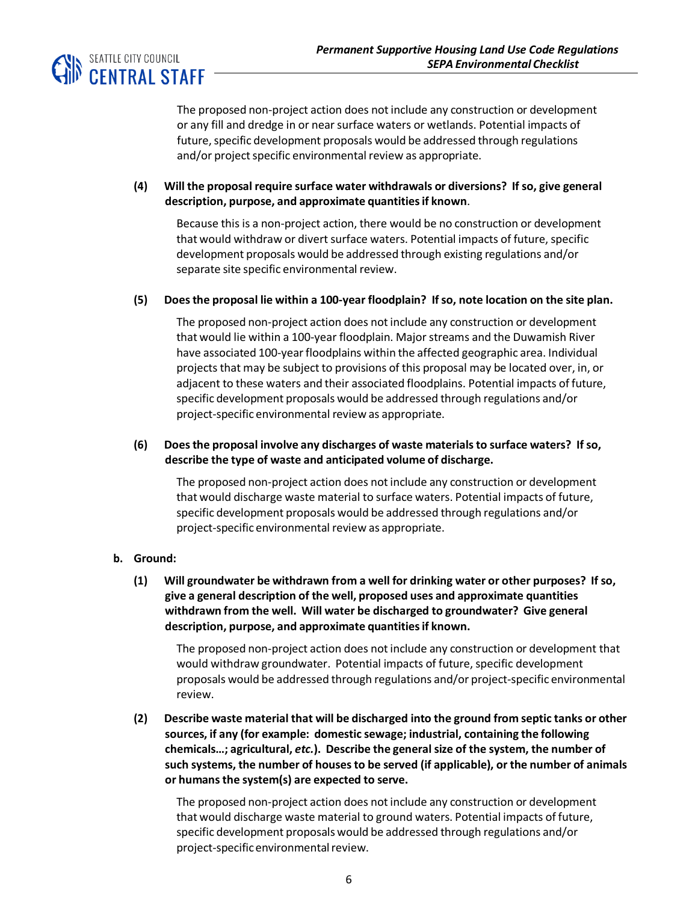

The proposed non-project action does notinclude any construction or development or any fill and dredge in or near surface waters or wetlands. Potential impacts of future, specific development proposals would be addressed through regulations and/or project specific environmental review as appropriate.

## **(4) Will the proposal require surface water withdrawals or diversions? If so, give general description, purpose, and approximate quantitiesif known**.

Because this is a non-project action, there would be no construction or development that would withdraw or divert surface waters. Potential impacts of future, specific development proposals would be addressed through existing regulations and/or separate site specific environmental review.

#### **(5) Doesthe proposal lie within a 100-year floodplain? Ifso, note location on the site plan.**

The proposed non-project action does notinclude any construction or development that would lie within a 100-year floodplain. Major streams and the Duwamish River have associated 100-year floodplains within the affected geographic area. Individual projects that may be subject to provisions of this proposal may be located over, in, or adjacent to these waters and their associated floodplains. Potential impacts of future, specific development proposals would be addressed through regulations and/or project-specific environmental review as appropriate.

## **(6) Doesthe proposal involve any discharges of waste materialsto surface waters? If so, describe the type of waste and anticipated volume of discharge.**

The proposed non-project action does not include any construction or development that would discharge waste material to surface waters. Potential impacts of future, specific development proposals would be addressed through regulations and/or project-specific environmental review as appropriate.

## **b. Ground:**

**(1) Will groundwater be withdrawn from a well for drinking water or other purposes? If so, give a general description of the well, proposed uses and approximate quantities withdrawn from the well. Will water be discharged to groundwater? Give general description, purpose, and approximate quantitiesif known.**

The proposed non-project action does notinclude any construction or development that would withdraw groundwater. Potential impacts of future, specific development proposals would be addressed through regulations and/or project-specific environmental review.

**(2) Describe waste material that will be discharged into the ground from septic tanks or other sources, if any (for example: domestic sewage; industrial, containing the following chemicals…; agricultural,** *etc.***). Describe the generalsize of the system, the number of such systems, the number of housesto be served (if applicable), or the number of animals or humansthe system(s) are expected to serve.**

The proposed non-project action does notinclude any construction or development that would discharge waste material to ground waters. Potential impacts of future, specific development proposals would be addressed through regulations and/or project-specific environmental review.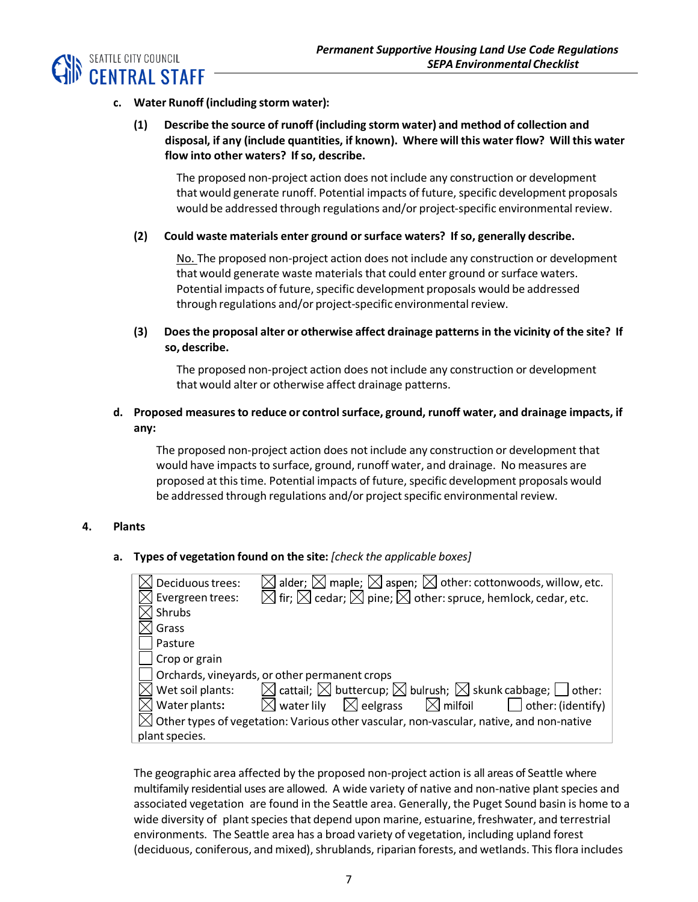

## **c. Water Runoff (including storm water):**

**(1) Describe the source of runoff (including storm water) and method of collection and disposal, if any (include quantities, if known). Where will this water flow? Will this water flow into other waters? If so, describe.**

The proposed non-project action does notinclude any construction or development that would generate runoff. Potential impacts of future, specific development proposals would be addressed through regulations and/or project-specific environmental review.

#### **(2) Could waste materials enter ground orsurface waters? If so, generally describe.**

No. The proposed non-project action does not include any construction or development that would generate waste materials that could enter ground or surface waters. Potential impacts of future, specific development proposals would be addressed through regulations and/or project-specific environmental review.

## **(3) Doesthe proposal alter or otherwise affect drainage patternsin the vicinity of the site? If so, describe.**

The proposed non-project action does notinclude any construction or development that would alter or otherwise affect drainage patterns.

## **d. Proposed measuresto reduce or controlsurface, ground, runoff water, and drainage impacts, if any:**

The proposed non-project action does not include any construction or development that would have impacts to surface, ground, runoff water, and drainage. No measures are proposed at this time. Potential impacts of future, specific development proposals would be addressed through regulations and/or project specific environmental review.

#### **4. Plants**

**a. Types of vegetation found on the site:** *[check the applicable boxes]*

| Deciduous trees: | $\boxtimes$ alder; $\boxtimes$ maple; $\boxtimes$ aspen; $\boxtimes$ other: cottonwoods, willow, etc.     |
|------------------|-----------------------------------------------------------------------------------------------------------|
| Evergreen trees: | $\boxtimes$ fir; $\boxtimes$ cedar; $\boxtimes$ pine; $\boxtimes$ other: spruce, hemlock, cedar, etc.     |
| Shrubs           |                                                                                                           |
| Grass            |                                                                                                           |
| Pasture          |                                                                                                           |
| Crop or grain    |                                                                                                           |
|                  | Orchards, vineyards, or other permanent crops                                                             |
| Wet soil plants: | $\boxtimes$ cattail; $\boxtimes$ buttercup; $\boxtimes$ bulrush; $\boxtimes$ skunk cabbage; $\Box$ other: |
| Water plants:    | $\boxtimes$ water lily $\mod$ eelgrass $\mod$ milfoil<br>$\Box$ other: (identify)                         |
|                  | $\boxtimes$ Other types of vegetation: Various other vascular, non-vascular, native, and non-native       |
| plant species.   |                                                                                                           |

The geographic area affected by the proposed non-project action is all areas of Seattle where multifamily residential uses are allowed. A wide variety of native and non-native plant species and associated vegetation are found in the Seattle area. Generally, the Puget Sound basin is home to a wide diversity of plant species that depend upon marine, estuarine, freshwater, and terrestrial environments. The Seattle area has a broad variety of vegetation, including upland forest (deciduous, coniferous, and mixed), shrublands, riparian forests, and wetlands. This flora includes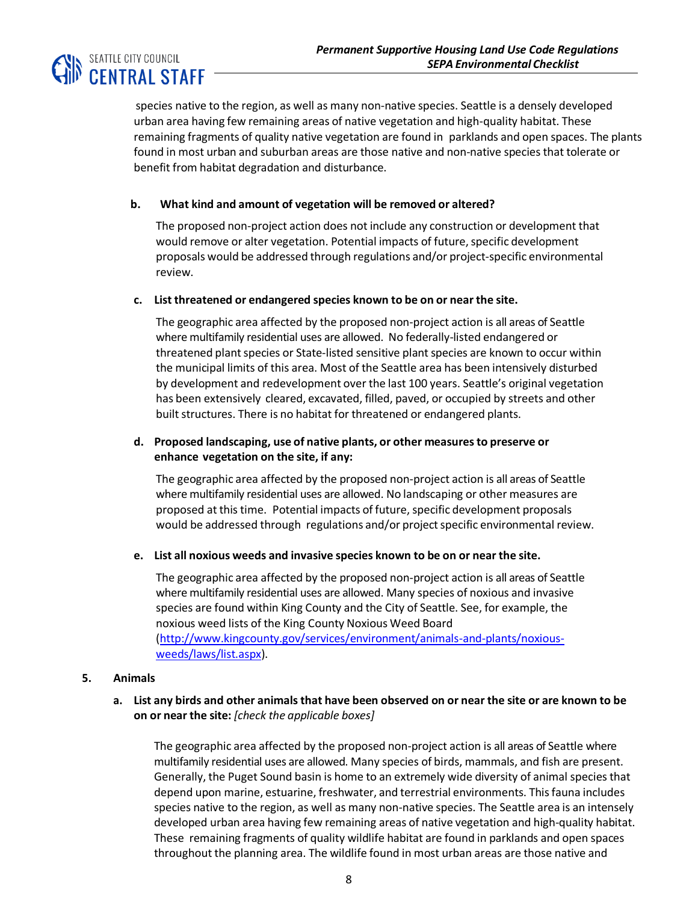

species native to the region, as well as many non-native species. Seattle is a densely developed urban area having few remaining areas of native vegetation and high-quality habitat. These remaining fragments of quality native vegetation are found in parklands and open spaces. The plants found in most urban and suburban areas are those native and non-native species that tolerate or benefit from habitat degradation and disturbance.

### **b. What kind and amount of vegetation will be removed or altered?**

The proposed non-project action does not include any construction or development that would remove or alter vegetation. Potential impacts of future, specific development proposals would be addressed through regulations and/or project-specific environmental review.

#### **c. List threatened or endangered species known to be on or near the site.**

The geographic area affected by the proposed non-project action is all areas of Seattle where multifamily residential uses are allowed. No federally-listed endangered or threatened plant species or State-listed sensitive plant species are known to occur within the municipal limits of this area. Most of the Seattle area has been intensively disturbed by development and redevelopment over the last 100 years. Seattle's original vegetation has been extensively cleared, excavated, filled, paved, or occupied by streets and other built structures. There is no habitat for threatened or endangered plants.

## **d. Proposed landscaping, use of native plants, or other measuresto preserve or enhance vegetation on the site, if any:**

The geographic area affected by the proposed non-project action is all areas of Seattle where multifamily residential uses are allowed. No landscaping or other measures are proposed at this time. Potential impacts of future, specific development proposals would be addressed through regulations and/or project specific environmental review.

#### **e. List all noxious weeds and invasive species known to be on or near the site.**

The geographic area affected by the proposed non-project action is all areas of Seattle where multifamily residential uses are allowed. Many species of noxious and invasive species are found within King County and the City of Seattle. See, for example, the noxious weed lists of the King County Noxious Weed Board [\(http://www.kingcounty.gov/services/environment/animals-and-plants/noxious](http://www.kingcounty.gov/services/environment/animals-and-plants/noxious-weeds/laws/list.aspx)[weeds/laws/list.aspx\)](http://www.kingcounty.gov/services/environment/animals-and-plants/noxious-weeds/laws/list.aspx).

#### **5. Animals**

#### a. List any birds and other animals that have been observed on or near the site or are known to be **on or near the site:** *[check the applicable boxes]*

The geographic area affected by the proposed non-project action is all areas of Seattle where multifamily residential uses are allowed. Many species of birds, mammals, and fish are present. Generally, the Puget Sound basin is home to an extremely wide diversity of animal species that depend upon marine, estuarine, freshwater, and terrestrial environments. Thisfauna includes species native to the region, as well as many non-native species. The Seattle area is an intensely developed urban area having few remaining areas of native vegetation and high-quality habitat. These remaining fragments of quality wildlife habitat are found in parklands and open spaces throughout the planning area. The wildlife found in most urban areas are those native and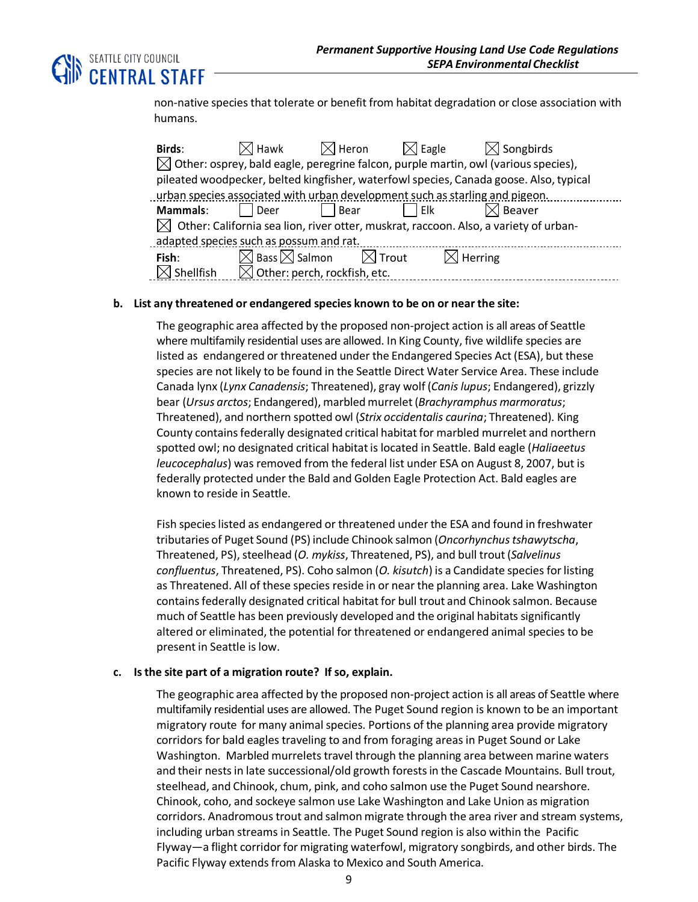

non-native species that tolerate or benefit from habitat degradation or close association with humans.

| Birds:                                                                                           | $\boxtimes$ l Hawk                       | $\boxtimes$ l Heron | $\bowtie$ Eagle | $\boxtimes$ Songbirds |  |  |  |  |
|--------------------------------------------------------------------------------------------------|------------------------------------------|---------------------|-----------------|-----------------------|--|--|--|--|
| $\boxtimes$ Other: osprey, bald eagle, peregrine falcon, purple martin, owl (various species),   |                                          |                     |                 |                       |  |  |  |  |
| pileated woodpecker, belted kingfisher, waterfowl species, Canada goose. Also, typical           |                                          |                     |                 |                       |  |  |  |  |
| urban species associated with urban development such as starling and pigeon.                     |                                          |                     |                 |                       |  |  |  |  |
| Mammals:                                                                                         | l Deer                                   | Bear                | l Elk           | $\bowtie$ Beaver      |  |  |  |  |
| $\boxtimes$ Other: California sea lion, river otter, muskrat, raccoon. Also, a variety of urban- |                                          |                     |                 |                       |  |  |  |  |
| adapted species such as possum and rat.                                                          |                                          |                     |                 |                       |  |  |  |  |
| Fish:                                                                                            | $\boxtimes$ Bass $\boxtimes$ Salmon      | $\boxtimes$ Trout   |                 | $\boxtimes$ Herring   |  |  |  |  |
| <b>Shellfish</b>                                                                                 | $\boxtimes$ Other: perch, rockfish, etc. |                     |                 |                       |  |  |  |  |

#### **b. List any threatened or endangered species known to be on or near the site:**

The geographic area affected by the proposed non-project action is all areas of Seattle where multifamily residential uses are allowed. In King County, five wildlife species are listed as endangered or threatened under the Endangered Species Act (ESA), but these species are not likely to be found in the Seattle Direct Water Service Area. These include Canada lynx (*Lynx Canadensis*; Threatened), gray wolf (*Canis lupus*; Endangered), grizzly bear (*Ursus arctos*; Endangered), marbledmurrelet (*Brachyramphus marmoratus*; Threatened), and northern spotted owl (*Strix occidentalis caurina*; Threatened). King County containsfederally designated critical habitatfor marbled murrelet and northern spotted owl; no designated critical habitatis located in Seattle. Bald eagle (*Haliaeetus leucocephalus*) was removed from the federal list under ESA on August 8, 2007, but is federally protected under the Bald and Golden Eagle Protection Act. Bald eagles are known to reside in Seattle.

Fish specieslisted as endangered or threatened under the ESA and found in freshwater tributaries of Puget Sound (PS) include Chinook salmon (*Oncorhynchustshawytscha*, Threatened, PS), steelhead (*O. mykiss*, Threatened, PS), and bull trout (*Salvelinus confluentus*, Threatened, PS). Coho salmon (*O. kisutch*) is a Candidate species for listing as Threatened. All of these species reside in or near the planning area. Lake Washington contains federally designated critical habitat for bull trout and Chinook salmon. Because much of Seattle has been previously developed and the original habitats significantly altered or eliminated, the potential for threatened or endangered animal species to be present in Seattle islow.

#### **c. Isthe site part of a migration route? If so, explain.**

The geographic area affected by the proposed non-project action is all areas of Seattle where multifamily residential uses are allowed. The Puget Sound region is known to be an important migratory route for many animalspecies. Portions of the planning area provide migratory corridors for bald eagles traveling to and from foraging areasin Puget Sound or Lake Washington. Marbled murrelets travel through the planning area between marine waters and their nestsin late successional/old growth forestsin the Cascade Mountains. Bull trout, steelhead, and Chinook, chum, pink, and coho salmon use the Puget Sound nearshore. Chinook, coho, and sockeye salmon use Lake Washington and Lake Union as migration corridors. Anadromous trout and salmon migrate through the area river and stream systems, including urban streams in Seattle. The Puget Sound region is also within the Pacific Flyway—a flight corridor for migrating waterfowl, migratory songbirds, and other birds. The Pacific Flyway extends from Alaska to Mexico and South America.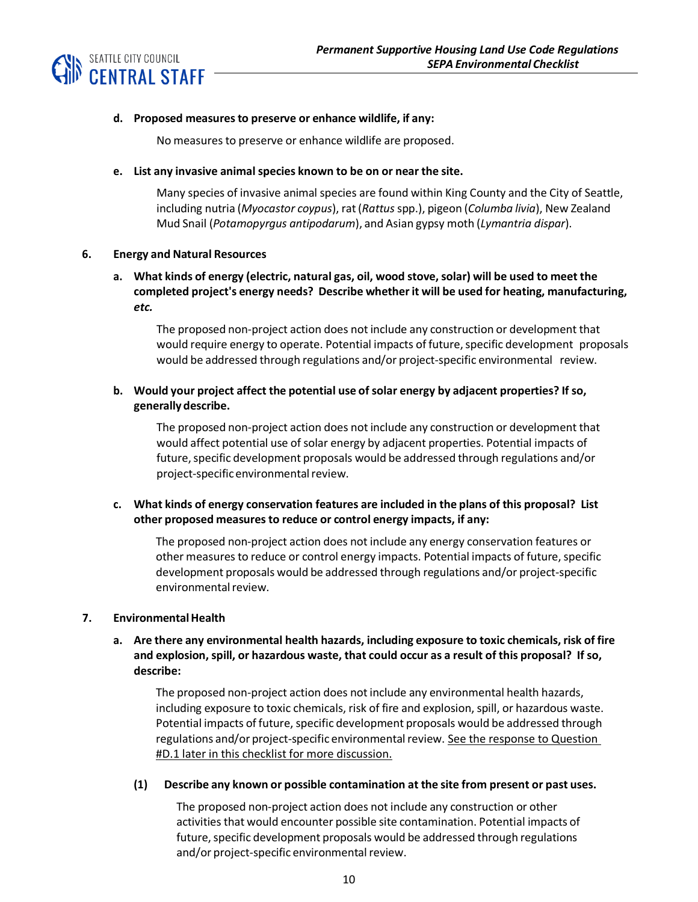

#### **d. Proposed measuresto preserve or enhance wildlife, if any:**

No measures to preserve or enhance wildlife are proposed.

#### **e. List any invasive animalspecies known to be on or near the site.**

Many species of invasive animal species are found within King County and the City of Seattle, including nutria (*Myocastor coypus*), rat(*Rattus* spp.), pigeon (*Columba livia*), New Zealand Mud Snail (*Potamopyrgus antipodarum*), and Asian gypsy moth (*Lymantria dispar*).

#### **6. Energy and Natural Resources**

## **a. What kinds of energy (electric, natural gas, oil, wood stove, solar) will be used to meet the completed project's energy needs? Describe whetherit will be used for heating, manufacturing,** *etc.*

The proposed non-project action does not include any construction or development that would require energy to operate. Potential impacts of future, specific development proposals would be addressed through regulations and/or project-specific environmental review.

## **b. Would your project affect the potential use of solar energy by adjacent properties? If so, generally describe.**

The proposed non-project action does not include any construction or development that would affect potential use of solar energy by adjacent properties. Potential impacts of future, specific development proposals would be addressed through regulations and/or project-specific environmental review.

## **c. What kinds of energy conservation features are included in the plans of this proposal? List other proposed measuresto reduce or control energy impacts, if any:**

The proposed non-project action does not include any energy conservation features or other measures to reduce or control energy impacts. Potential impacts of future, specific development proposals would be addressed through regulations and/or project-specific environmental review.

## **7. EnvironmentalHealth**

**a. Are there any environmental health hazards, including exposure to toxic chemicals, risk of fire and explosion, spill, or hazardous waste, that could occur as a result of this proposal? If so, describe:**

The proposed non-project action does notinclude any environmental health hazards, including exposure to toxic chemicals, risk of fire and explosion,spill, or hazardous waste. Potential impacts of future, specific development proposals would be addressed through regulations and/or project-specific environmental review. See the response to Question #D.1 later in this checklist for more discussion.

#### **(1) Describe any known or possible contamination at the site from present or past uses.**

The proposed non-project action does not include any construction or other activities that would encounter possible site contamination. Potential impacts of future, specific development proposals would be addressed through regulations and/or project-specific environmental review.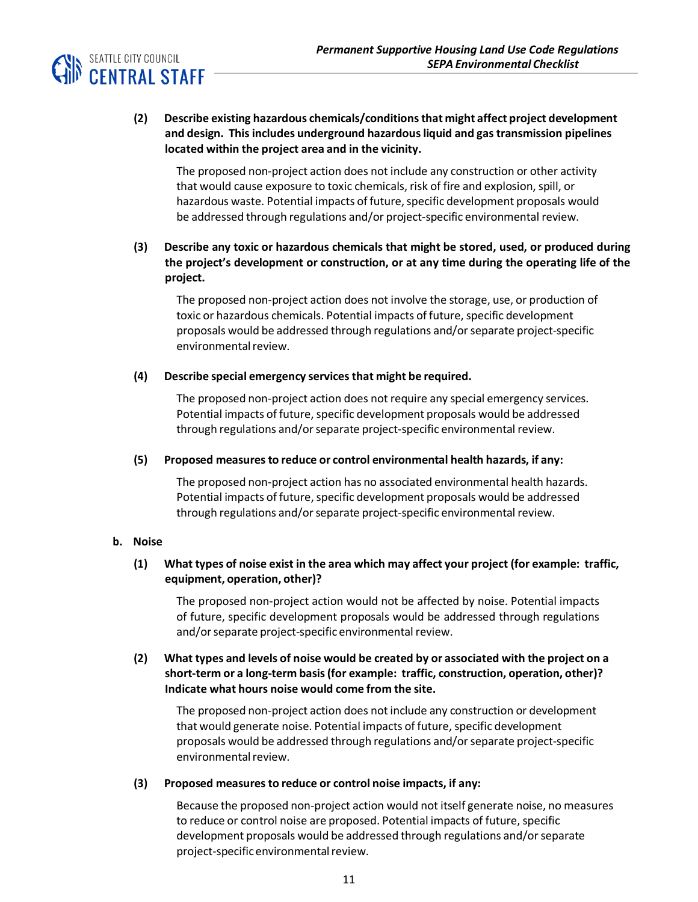

## **(2) Describe existing hazardous chemicals/conditionsthat might affect project development and design. Thisincludes underground hazardousliquid and gastransmission pipelines located within the project area and in the vicinity.**

The proposed non-project action does not include any construction or other activity that would cause exposure to toxic chemicals, risk of fire and explosion, spill, or hazardous waste. Potential impacts of future, specific development proposals would be addressed through regulations and/or project-specific environmental review.

## **(3) Describe any toxic or hazardous chemicals that might be stored, used, or produced during the project's development or construction, or at any time during the operating life of the project.**

The proposed non-project action does not involve the storage, use, or production of toxic or hazardous chemicals. Potential impacts of future, specific development proposals would be addressed through regulations and/or separate project-specific environmental review.

## **(4) Describe special emergency servicesthat might be required.**

The proposed non-project action does not require any special emergency services. Potential impacts of future, specific development proposals would be addressed through regulations and/or separate project-specific environmental review.

## **(5) Proposed measuresto reduce or control environmental health hazards, if any:**

The proposed non-project action has no associated environmental health hazards. Potential impacts of future, specific development proposals would be addressed through regulations and/orseparate project-specific environmental review.

## **b. Noise**

## **(1) What types of noise exist in the area which may affect your project (for example: traffic, equipment, operation, other)?**

The proposed non-project action would not be affected by noise. Potential impacts of future, specific development proposals would be addressed through regulations and/or separate project-specific environmental review.

## **(2) What types and levels of noise would be created by or associated with the project on a short-term or a long-term basis(for example: traffic, construction, operation, other)? Indicate what hours noise would come from the site.**

The proposed non-project action does notinclude any construction or development that would generate noise. Potential impacts of future, specific development proposals would be addressed through regulations and/orseparate project-specific environmental review.

## **(3) Proposed measuresto reduce or control noise impacts, if any:**

Because the proposed non-project action would not itself generate noise, no measures to reduce or control noise are proposed. Potential impacts of future, specific development proposals would be addressed through regulations and/orseparate project-specific environmental review.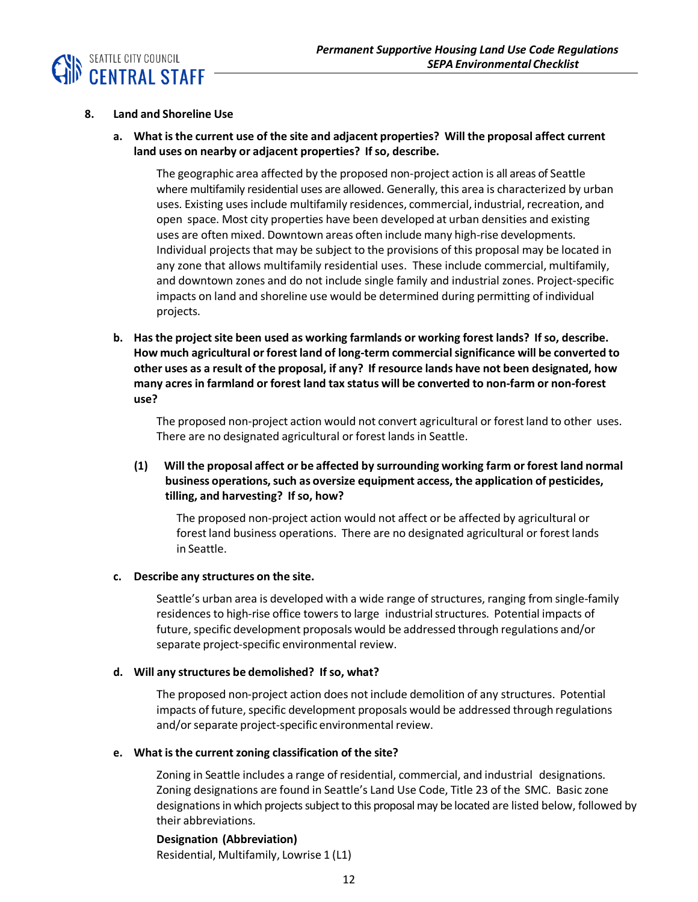

#### **8. Land and Shoreline Use**

**a. What isthe current use of the site and adjacent properties? Will the proposal affect current land uses on nearby or adjacent properties? If so, describe.**

The geographic area affected by the proposed non-project action is all areas of Seattle where multifamily residential uses are allowed. Generally, this area is characterized by urban uses. Existing uses include multifamily residences, commercial, industrial, recreation, and open space. Most city properties have been developed at urban densities and existing uses are often mixed. Downtown areas often include many high-rise developments. Individual projects that may be subject to the provisions of this proposal may be located in any zone that allows multifamily residential uses. These include commercial, multifamily, and downtown zones and do not include single family and industrial zones. Project-specific impacts on land and shoreline use would be determined during permitting of individual projects.

**b. Hasthe project site been used as working farmlands or working forest lands? If so, describe. How much agricultural orforest land of long-term commercialsignificance will be converted to other uses as a result of the proposal, if any? If resource lands have not been designated, how many acresin farmland or forest land tax status will be converted to non-farm or non-forest use?**

The proposed non-project action would not convert agricultural or forestland to other uses. There are no designated agricultural or forest lands in Seattle.

## **(1) Will the proposal affect or be affected by surrounding working farm or forest land normal business operations,such as oversize equipment access, the application of pesticides, tilling, and harvesting? If so, how?**

The proposed non-project action would not affect or be affected by agricultural or forest land business operations. There are no designated agricultural or forest lands in Seattle.

#### **c. Describe any structures on the site.**

Seattle's urban area is developed with a wide range of structures, ranging from single-family residences to high-rise office towers to large industrialstructures. Potential impacts of future, specific development proposals would be addressed through regulations and/or separate project-specific environmental review.

#### **d. Will any structures be demolished? If so, what?**

The proposed non-project action does not include demolition of any structures. Potential impacts of future, specific development proposals would be addressed through regulations and/or separate project-specific environmental review.

#### **e. What isthe current zoning classification of the site?**

Zoning in Seattle includes a range of residential, commercial, and industrial designations. Zoning designations are found in Seattle's Land Use Code, Title 23 of the SMC. Basic zone designations in which projects subject to this proposal may be located are listed below, followed by their abbreviations.

#### **Designation (Abbreviation)**

Residential, Multifamily, Lowrise 1 (L1)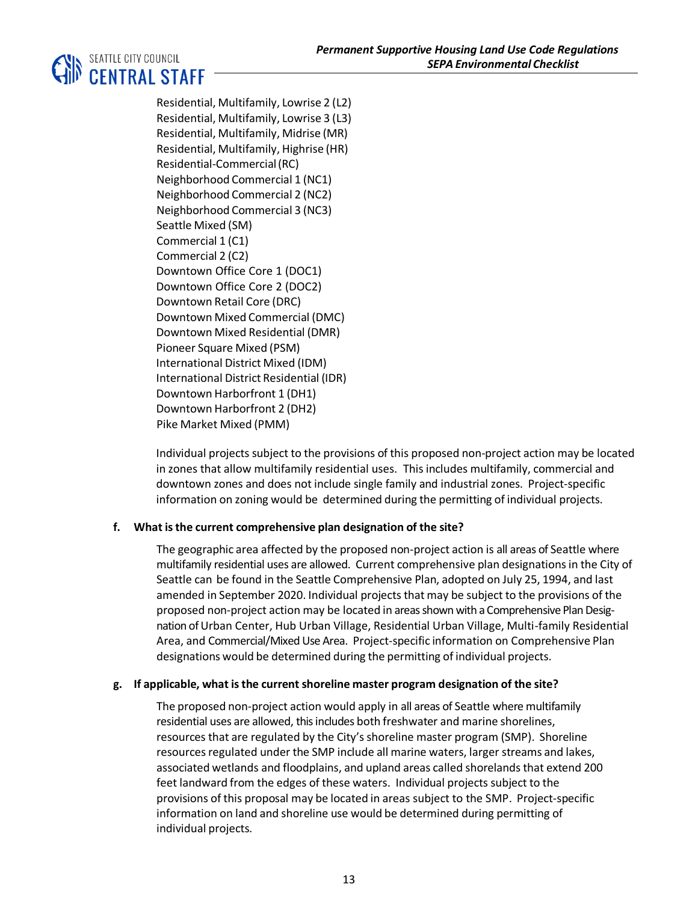## **SEATTLE CITY COUNCIL**<br>**IN CENTRAL STAFF**

Residential, Multifamily, Lowrise 2 (L2) Residential, Multifamily, Lowrise 3 (L3) Residential, Multifamily, Midrise (MR) Residential, Multifamily, Highrise (HR) Residential-Commercial(RC) Neighborhood Commercial 1 (NC1) Neighborhood Commercial 2 (NC2) Neighborhood Commercial 3 (NC3) Seattle Mixed (SM) Commercial 1 (C1) Commercial 2 (C2) Downtown Office Core 1 (DOC1) Downtown Office Core 2 (DOC2) Downtown Retail Core (DRC) Downtown Mixed Commercial (DMC) Downtown Mixed Residential (DMR) Pioneer Square Mixed (PSM) International District Mixed (IDM) International District Residential (IDR) Downtown Harborfront 1 (DH1) Downtown Harborfront 2 (DH2) Pike Market Mixed (PMM)

Individual projects subject to the provisions of this proposed non-project action may be located in zones that allow multifamily residential uses. This includes multifamily, commercial and downtown zones and does not include single family and industrial zones. Project-specific information on zoning would be determined during the permitting of individual projects.

## **f. What isthe current comprehensive plan designation of the site?**

The geographic area affected by the proposed non-project action is all areas of Seattle where multifamily residential uses are allowed. Current comprehensive plan designationsin the City of Seattle can be found in the Seattle Comprehensive Plan, adopted on July 25, 1994, and last amended in September 2020. Individual projects that may be subject to the provisions of the proposed non-project action may be located in areas shown with a Comprehensive Plan Designation of Urban Center, Hub Urban Village, Residential Urban Village, Multi-family Residential Area, and Commercial/Mixed Use Area. Project-specific information on Comprehensive Plan designations would be determined during the permitting of individual projects.

## **g. If applicable, what isthe currentshoreline master program designation of the site?**

The proposed non-project action would apply in all areas of Seattle where multifamily residential uses are allowed, this includes both freshwater and marine shorelines, resources that are regulated by the City's shoreline master program (SMP). Shoreline resources regulated under the SMP include all marine waters, larger streams and lakes, associated wetlands and floodplains, and upland areas called shorelands that extend 200 feet landward from the edges of these waters. Individual projects subject to the provisions of this proposal may be located in areas subject to the SMP. Project-specific information on land and shoreline use would be determined during permitting of individual projects.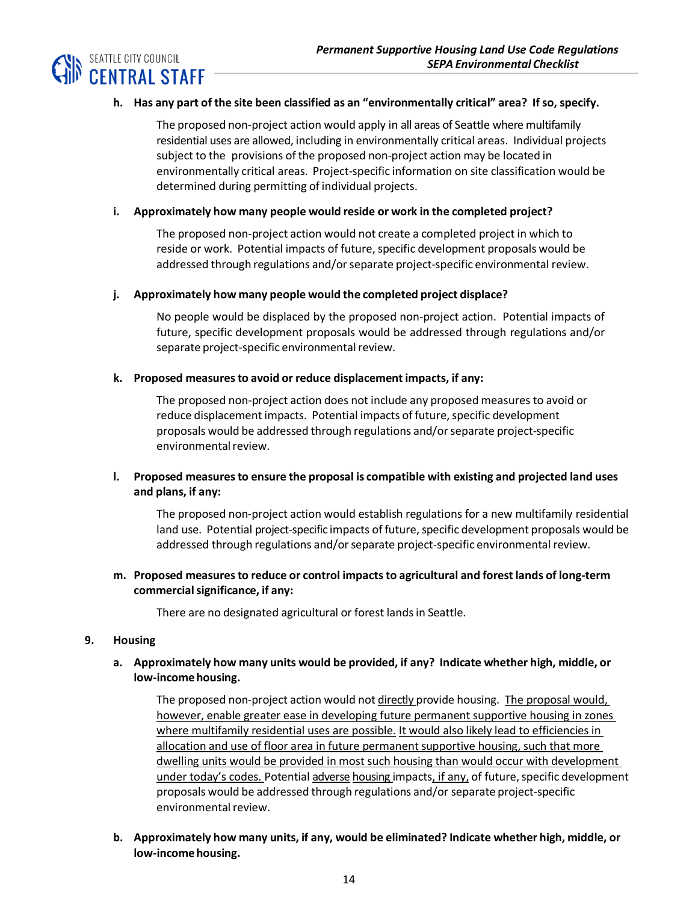

## **h. Has any part of the site been classified as an "environmentally critical" area? If so, specify.**

The proposed non-project action would apply in all areas of Seattle where multifamily residential uses are allowed, including in environmentally critical areas. Individual projects subject to the provisions of the proposed non-project action may be located in environmentally critical areas. Project-specific information on site classification would be determined during permitting of individual projects.

#### **i. Approximately how many people would reside or work in the completed project?**

The proposed non-project action would not create a completed project in which to reside or work. Potential impacts of future, specific development proposals would be addressed through regulations and/orseparate project-specific environmental review.

#### **j. Approximately how many people would the completed project displace?**

No people would be displaced by the proposed non-project action. Potential impacts of future, specific development proposals would be addressed through regulations and/or separate project-specific environmental review.

#### **k. Proposed measuresto avoid or reduce displacement impacts, if any:**

The proposed non-project action does not include any proposed measures to avoid or reduce displacement impacts. Potential impacts of future, specific development proposals would be addressed through regulations and/or separate project-specific environmental review.

## **l. Proposed measuresto ensure the proposal is compatible with existing and projected land uses and plans, if any:**

The proposed non-project action would establish regulations for a new multifamily residential land use. Potential project-specific impacts of future, specific development proposals would be addressed through regulations and/orseparate project-specific environmental review.

## **m. Proposed measuresto reduce or control impactsto agricultural and forest lands of long-term commercialsignificance, if any:**

There are no designated agricultural or forest lands in Seattle.

#### **9. Housing**

## **a. Approximately how many units would be provided, if any? Indicate whether high, middle, or** low-income housing.

The proposed non-project action would not directly provide housing. The proposal would, however, enable greater ease in developing future permanent supportive housing in zones where multifamily residential uses are possible. It would also likely lead to efficiencies in allocation and use of floor area in future permanent supportive housing, such that more dwelling units would be provided in most such housing than would occur with development under today's codes. Potential adverse housing impacts, if any, of future, specific development proposals would be addressed through regulations and/or separate project-specific environmental review.

**b. Approximately how many units, if any, would be eliminated? Indicate whether high, middle, or** low-income housing.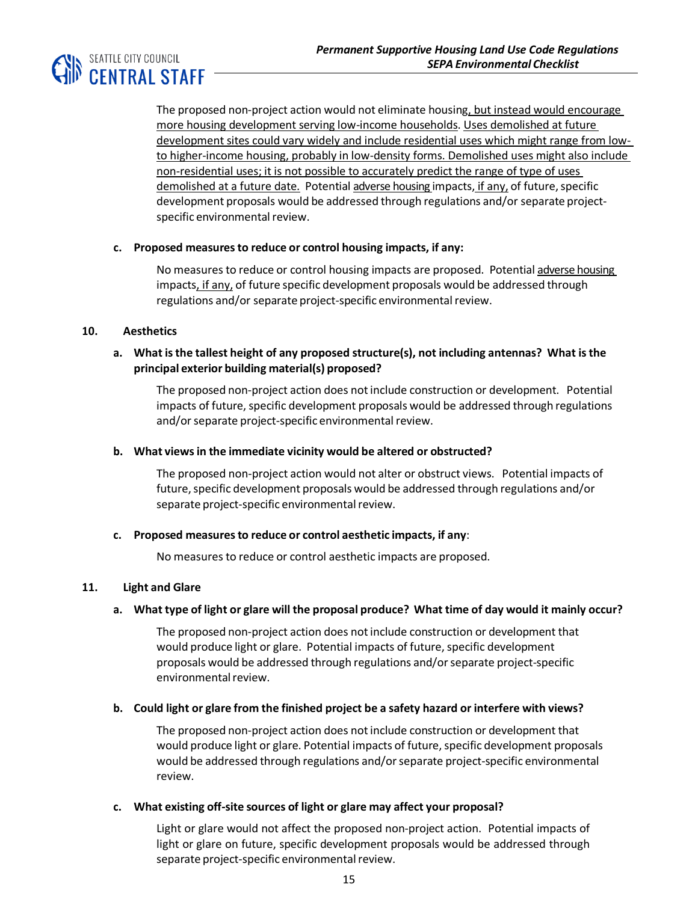

The proposed non-project action would not eliminate housing, but instead would encourage more housing development serving low-income households. Uses demolished at future development sites could vary widely and include residential uses which might range from lowto higher-income housing, probably in low-density forms. Demolished uses might also include non-residential uses; it is not possible to accurately predict the range of type of uses demolished at a future date. Potential adverse housing impacts, if any, of future, specific development proposals would be addressed through regulations and/or separate projectspecific environmental review.

#### **c. Proposed measuresto reduce or control housing impacts, if any:**

No measures to reduce or control housing impacts are proposed. Potential adverse housing impacts, if any, of future specific development proposals would be addressed through regulations and/or separate project-specific environmental review.

#### **10. Aesthetics**

## **a. What isthe tallest height of any proposed structure(s), not including antennas? What isthe principal exterior building material(s) proposed?**

The proposed non-project action does notinclude construction or development. Potential impacts of future, specific development proposals would be addressed through regulations and/or separate project-specific environmental review.

#### **b. What viewsin the immediate vicinity would be altered or obstructed?**

The proposed non-project action would not alter or obstruct views. Potential impacts of future, specific development proposals would be addressed through regulations and/or separate project-specific environmental review.

#### **c. Proposed measuresto reduce or control aesthetic impacts, if any**:

No measures to reduce or control aesthetic impacts are proposed.

## **11. Light and Glare**

## a. What type of light or glare will the proposal produce? What time of day would it mainly occur?

The proposed non-project action does not include construction or development that would produce light or glare. Potential impacts of future, specific development proposals would be addressed through regulations and/orseparate project-specific environmental review.

## **b. Could light or glare from the finished project be a safety hazard or interfere with views?**

The proposed non-project action does notinclude construction or development that would produce light or glare. Potential impacts of future, specific development proposals would be addressed through regulations and/orseparate project-specific environmental review.

#### **c. What existing off-site sources of light or glare may affect your proposal?**

Light or glare would not affect the proposed non-project action. Potential impacts of light or glare on future, specific development proposals would be addressed through separate project-specific environmental review.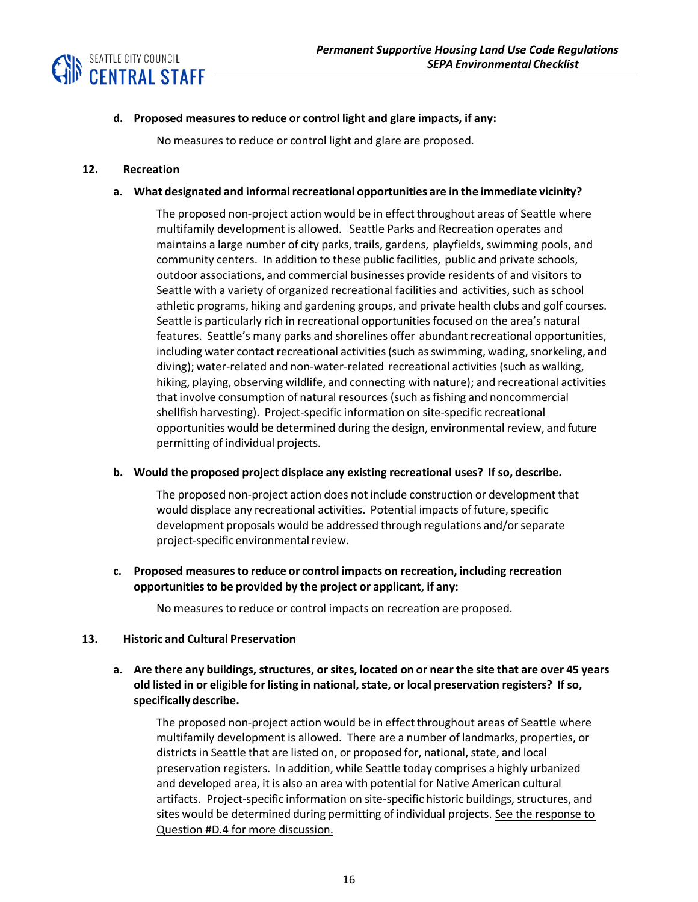



#### **d. Proposed measuresto reduce or control light and glare impacts, if any:**

No measures to reduce or control light and glare are proposed.

#### **12. Recreation**

#### **a. What designated and informalrecreational opportunities are in the immediate vicinity?**

The proposed non-project action would be in effect throughout areas of Seattle where multifamily development is allowed. Seattle Parks and Recreation operates and maintains a large number of city parks, trails, gardens, playfields, swimming pools, and community centers. In addition to these public facilities, public and private schools, outdoor associations, and commercial businesses provide residents of and visitors to Seattle with a variety of organized recreational facilities and activities, such as school athletic programs, hiking and gardening groups, and private health clubs and golf courses. Seattle is particularly rich in recreational opportunities focused on the area's natural features. Seattle's many parks and shorelines offer abundant recreational opportunities, including water contact recreational activities (such as swimming, wading, snorkeling, and diving); water-related and non-water-related recreational activities (such as walking, hiking, playing, observing wildlife, and connecting with nature); and recreational activities that involve consumption of natural resources (such as fishing and noncommercial shellfish harvesting). Project-specific information on site-specific recreational opportunities would be determined during the design, environmental review, and *future* permitting of individual projects.

#### **b. Would the proposed project displace any existing recreational uses? If so, describe.**

The proposed non-project action does notinclude construction or development that would displace any recreational activities. Potential impacts of future, specific development proposals would be addressed through regulations and/orseparate project-specific environmental review.

## **c. Proposed measuresto reduce or control impacts on recreation, including recreation opportunitiesto be provided by the project or applicant, if any:**

No measures to reduce or control impacts on recreation are proposed.

## **13. Historic and Cultural Preservation**

## a. Are there any buildings, structures, or sites, located on or near the site that are over 45 years **old listed in or eligible for listing in national, state, or local preservation registers? If so, specifically describe.**

The proposed non-project action would be in effect throughout areas of Seattle where multifamily development is allowed. There are a number of landmarks, properties, or districts in Seattle that are listed on, or proposed for, national, state, and local preservation registers. In addition, while Seattle today comprises a highly urbanized and developed area, it is also an area with potential for Native American cultural artifacts. Project-specific information on site-specific historic buildings, structures, and sites would be determined during permitting of individual projects. See the response to Question #D.4 for more discussion.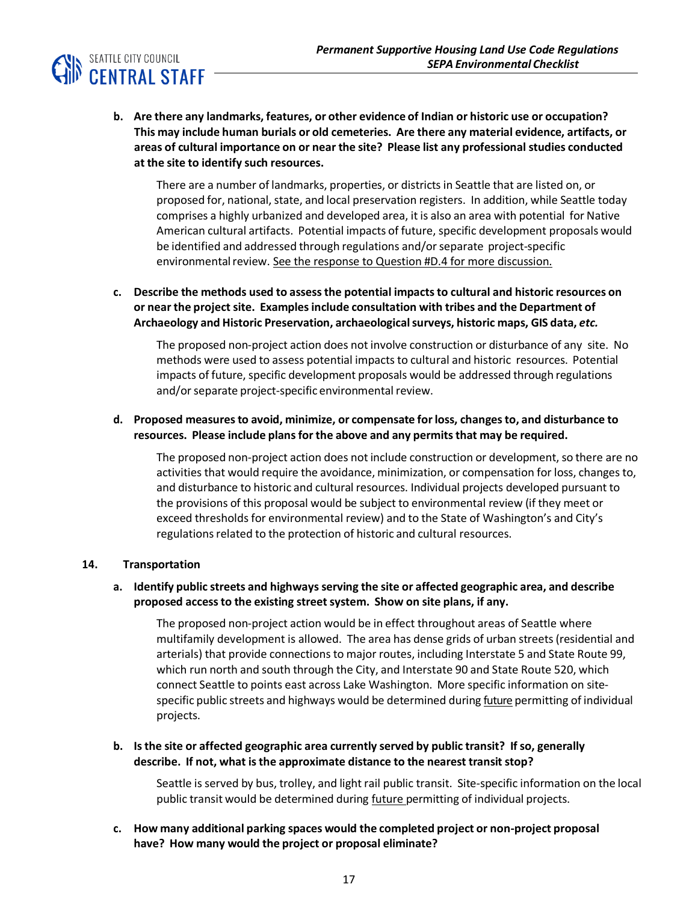

**b. Are there any landmarks, features, or other evidence of Indian or historic use or occupation? This may include human burials or old cemeteries. Are there any material evidence, artifacts, or areas of cultural importance on or near the site? Please list any professionalstudies conducted at the site to identify such resources.**

There are a number of landmarks, properties, or districts in Seattle that are listed on, or proposed for, national, state, and local preservation registers. In addition, while Seattle today comprises a highly urbanized and developed area, it is also an area with potential for Native American cultural artifacts. Potential impacts of future, specific development proposals would be identified and addressed through regulations and/orseparate project-specific environmental review. See the response to Question #D.4 for more discussion.

**c. Describe the methods used to assessthe potential impactsto cultural and historic resources on or near the project site. Examplesinclude consultation with tribes and the Department of Archaeology and Historic Preservation, archaeologicalsurveys, historic maps, GIS data,** *etc.*

The proposed non-project action does not involve construction or disturbance of any site. No methods were used to assess potential impacts to cultural and historic resources. Potential impacts of future, specific development proposals would be addressed through regulations and/or separate project-specific environmental review.

## **d. Proposed measuresto avoid, minimize, or compensate forloss, changesto, and disturbance to resources. Please include plansfor the above and any permitsthat may be required.**

The proposed non-project action does not include construction or development, so there are no activities that would require the avoidance, minimization, or compensation for loss, changes to, and disturbance to historic and cultural resources. Individual projects developed pursuant to the provisions of this proposal would be subject to environmental review (if they meet or exceed thresholds for environmental review) and to the State of Washington's and City's regulations related to the protection of historic and cultural resources.

#### **14. Transportation**

## **a. Identify public streets and highwaysserving the site or affected geographic area, and describe proposed accessto the existing streetsystem. Show on site plans, if any.**

The proposed non-project action would be in effect throughout areas of Seattle where multifamily development is allowed. The area has dense grids of urban streets(residential and arterials) that provide connections to major routes, including Interstate 5 and State Route 99, which run north and south through the City, and Interstate 90 and State Route 520, which connect Seattle to points east across Lake Washington. More specific information on sitespecific public streets and highways would be determined during future permitting of individual projects.

## **b. Isthe site or affected geographic area currently served by public transit? If so, generally describe. If not, what isthe approximate distance to the nearest transit stop?**

Seattle is served by bus, trolley, and light rail public transit. Site-specific information on the local public transit would be determined during *future* permitting of individual projects.

**c. How many additional parking spaces would the completed project or non-project proposal have? How many would the project or proposal eliminate?**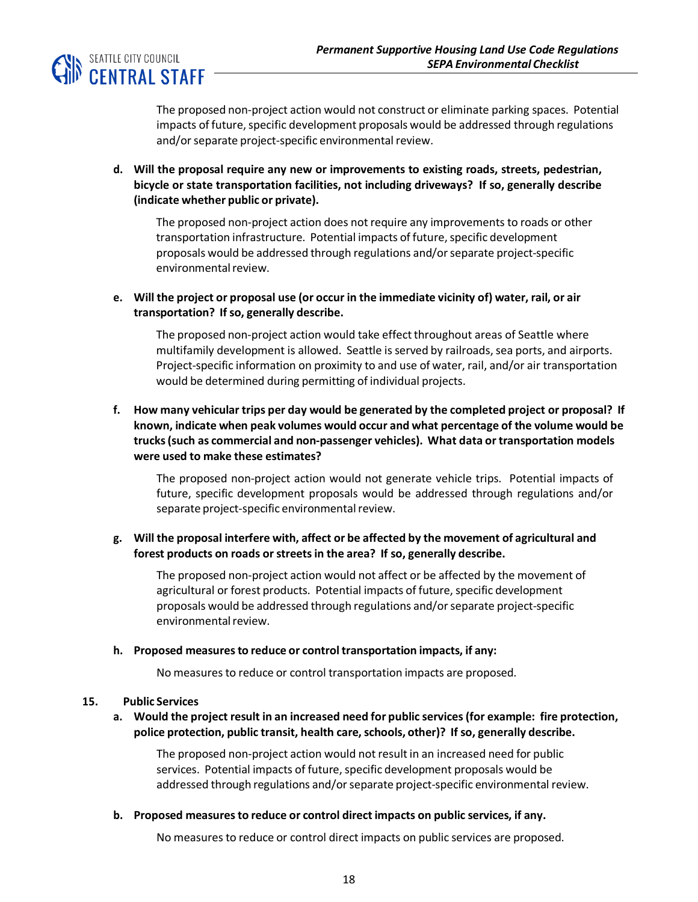

The proposed non-project action would not construct or eliminate parking spaces. Potential impacts of future, specific development proposals would be addressed through regulations and/or separate project-specific environmental review.

**d. Will the proposal require any new or improvements to existing roads, streets, pedestrian, bicycle or state transportation facilities, not including driveways? If so, generally describe (indicate whether public or private).**

The proposed non-project action does not require any improvements to roads or other transportation infrastructure. Potential impacts of future, specific development proposals would be addressed through regulations and/orseparate project-specific environmental review.

**e. Will the project or proposal use (or occur in the immediate vicinity of) water, rail, or air transportation? If so, generally describe.**

The proposed non-project action would take effect throughout areas of Seattle where multifamily development is allowed. Seattle is served by railroads, sea ports, and airports. Project-specific information on proximity to and use of water, rail, and/or air transportation would be determined during permitting of individual projects.

**f. How many vehicular trips per day would be generated by the completed project or proposal? If known, indicate when peak volumes would occur and what percentage of the volume would be trucks(such as commercial and non-passenger vehicles). What data or transportation models were used to make these estimates?**

The proposed non-project action would not generate vehicle trips. Potential impacts of future, specific development proposals would be addressed through regulations and/or separate project-specific environmental review.

**g. Will the proposal interfere with, affect or be affected by the movement of agricultural and forest products on roads orstreetsin the area? If so, generally describe.**

The proposed non-project action would not affect or be affected by the movement of agricultural or forest products. Potential impacts of future, specific development proposals would be addressed through regulations and/orseparate project-specific environmental review.

#### **h. Proposed measuresto reduce or controltransportation impacts, if any:**

No measures to reduce or control transportation impacts are proposed.

#### **15. Public Services**

## **a. Would the project result in an increased need for public services(for example: fire protection, police protection, public transit, health care, schools, other)? If so, generally describe.**

The proposed non-project action would not result in an increased need for public services. Potential impacts of future, specific development proposals would be addressed through regulations and/or separate project-specific environmental review.

#### **b. Proposed measuresto reduce or control direct impacts on public services, if any.**

No measures to reduce or control direct impacts on public services are proposed.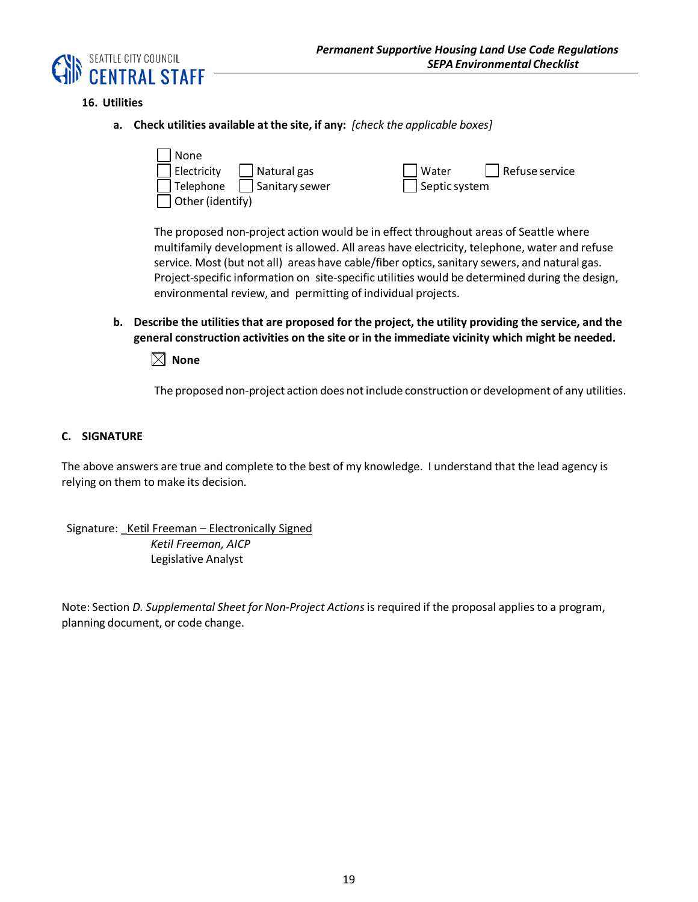

## **16. Utilities**

**a. Check utilities available at the site, if any:** *[check the applicable boxes]*



The proposed non-project action would be in effect throughout areas of Seattle where multifamily development is allowed. All areas have electricity, telephone, water and refuse service. Most (but not all) areas have cable/fiber optics, sanitary sewers, and natural gas. Project-specific information on site-specific utilities would be determined during the design, environmental review, and permitting of individual projects.

**b. Describe the utilitiesthat are proposed for the project, the utility providing the service, and the general construction activities on the site or in the immediate vicinity which might be needed.**

 $\boxtimes$  None

The proposed non-project action does not include construction or development of any utilities.

#### **C. SIGNATURE**

The above answers are true and complete to the best of my knowledge. I understand that the lead agency is relying on them to make its decision.

Signature: Ketil Freeman - Electronically Signed *Ketil Freeman, AICP* Legislative Analyst

Note: Section *D. Supplemental Sheet for Non-Project Actions*is required if the proposal applies to a program, planning document, or code change.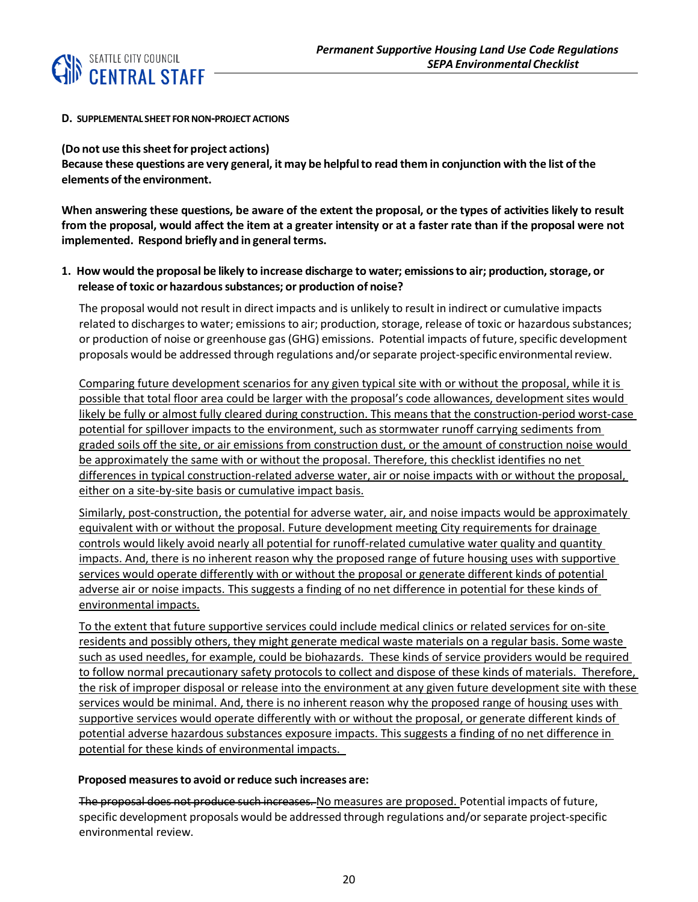

#### **D. SUPPLEMENTAL SHEET FORNON-PROJECT ACTIONS**

**(Do not use thissheetfor project actions)**

Because these questions are very general, it may be helpful to read them in conjunction with the list of the **elements of the environment.** 

When answering these questions, be aware of the extent the proposal, or the types of activities likely to result from the proposal, would affect the item at a greater intensity or at a faster rate than if the proposal were not **implemented.** Respond briefly and in general terms.

## **1. How would the proposal be likely to increase discharge to water; emissionsto air; production,storage, or release of toxic or hazardoussubstances; or production of noise?**

The proposal would not result in direct impacts and is unlikely to result in indirect or cumulative impacts related to discharges to water; emissions to air; production, storage, release of toxic or hazardous substances; or production of noise or greenhouse gas (GHG) emissions. Potential impacts of future, specific development proposals would be addressed through regulations and/orseparate project-specific environmentalreview.

Comparing future development scenarios for any given typical site with or without the proposal, while it is possible that total floor area could be larger with the proposal's code allowances, development sites would likely be fully or almost fully cleared during construction. This means that the construction-period worst-case potential for spillover impacts to the environment, such as stormwater runoff carrying sediments from graded soils off the site, or air emissions from construction dust, or the amount of construction noise would be approximately the same with or without the proposal. Therefore, this checklist identifies no net differences in typical construction-related adverse water, air or noise impacts with or without the proposal, either on a site-by-site basis or cumulative impact basis.

Similarly, post-construction, the potential for adverse water, air, and noise impacts would be approximately equivalent with or without the proposal. Future development meeting City requirements for drainage controls would likely avoid nearly all potential for runoff-related cumulative water quality and quantity impacts. And, there is no inherent reason why the proposed range of future housing uses with supportive services would operate differently with or without the proposal or generate different kinds of potential adverse air or noise impacts. This suggests a finding of no net difference in potential for these kinds of environmental impacts.

To the extent that future supportive services could include medical clinics or related services for on-site residents and possibly others, they might generate medical waste materials on a regular basis. Some waste such as used needles, for example, could be biohazards. These kinds of service providers would be required to follow normal precautionary safety protocols to collect and dispose of these kinds of materials. Therefore, the risk of improper disposal or release into the environment at any given future development site with these services would be minimal. And, there is no inherent reason why the proposed range of housing uses with supportive services would operate differently with or without the proposal, or generate different kinds of potential adverse hazardous substances exposure impacts. This suggests a finding of no net difference in potential for these kinds of environmental impacts.

## **Proposed measuresto avoid orreduce such increases are:**

The proposal does not produce such increases. No measures are proposed. Potential impacts of future, specific development proposals would be addressed through regulations and/or separate project-specific environmental review.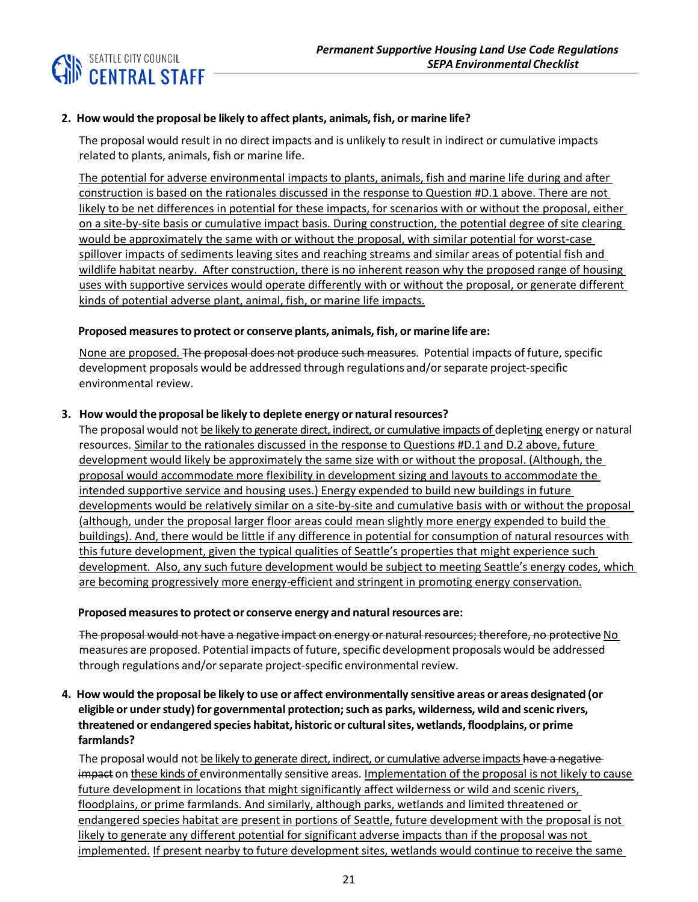## **SEATTLE CITY COUNCIL**<br>**IID CENTRAL STAFF**

## **2. How would the proposal be likely to affect plants, animals, fish, or marine life?**

The proposal would result in no direct impacts and is unlikely to result in indirect or cumulative impacts related to plants, animals, fish or marine life.

The potential for adverse environmental impacts to plants, animals, fish and marine life during and after construction is based on the rationales discussed in the response to Question #D.1 above. There are not likely to be net differences in potential for these impacts, for scenarios with or without the proposal, either on a site-by-site basis or cumulative impact basis. During construction, the potential degree of site clearing would be approximately the same with or without the proposal, with similar potential for worst-case spillover impacts of sediments leaving sites and reaching streams and similar areas of potential fish and wildlife habitat nearby. After construction, there is no inherent reason why the proposed range of housing uses with supportive services would operate differently with or without the proposal, or generate different kinds of potential adverse plant, animal, fish, or marine life impacts.

#### **Proposed measuresto protect or conserve plants, animals, fish, or marine life are:**

None are proposed. The proposal does not produce such measures. Potential impacts of future, specific development proposals would be addressed through regulations and/or separate project-specific environmental review.

## **3. How would the proposal be likely to deplete energy or naturalresources?**

The proposal would not be likely to generate direct, indirect, or cumulative impacts of depleting energy or natural resources. Similar to the rationales discussed in the response to Questions #D.1 and D.2 above, future development would likely be approximately the same size with or without the proposal. (Although, the proposal would accommodate more flexibility in development sizing and layouts to accommodate the intended supportive service and housing uses.) Energy expended to build new buildings in future developments would be relatively similar on a site-by-site and cumulative basis with or without the proposal (although, under the proposal larger floor areas could mean slightly more energy expended to build the buildings). And, there would be little if any difference in potential for consumption of natural resources with this future development, given the typical qualities of Seattle's properties that might experience such development. Also, any such future development would be subject to meeting Seattle's energy codes, which are becoming progressively more energy-efficient and stringent in promoting energy conservation.

#### **Proposed measuresto protect or conserve energy and naturalresources are:**

The proposal would not have a negative impact on energy or natural resources; therefore, no protective No measures are proposed. Potential impacts of future, specific development proposals would be addressed through regulations and/orseparate project-specific environmental review.

## 4. How would the proposal be likely to use or affect environmentally sensitive areas or areas designated (or **eligible or understudy)for governmental protection;such as parks, wilderness, wild and scenic rivers, threatened or endangered species habitat, historic or culturalsites, wetlands,floodplains, or prime farmlands?**

The proposal would not be likely to generate direct, indirect, or cumulative adverse impacts have a negative impact on these kinds of environmentally sensitive areas. Implementation of the proposal is not likely to cause future development in locations that might significantly affect wilderness or wild and scenic rivers, floodplains, or prime farmlands. And similarly, although parks, wetlands and limited threatened or endangered species habitat are present in portions of Seattle, future development with the proposal is not likely to generate any different potential for significant adverse impacts than if the proposal was not implemented. If present nearby to future development sites, wetlands would continue to receive the same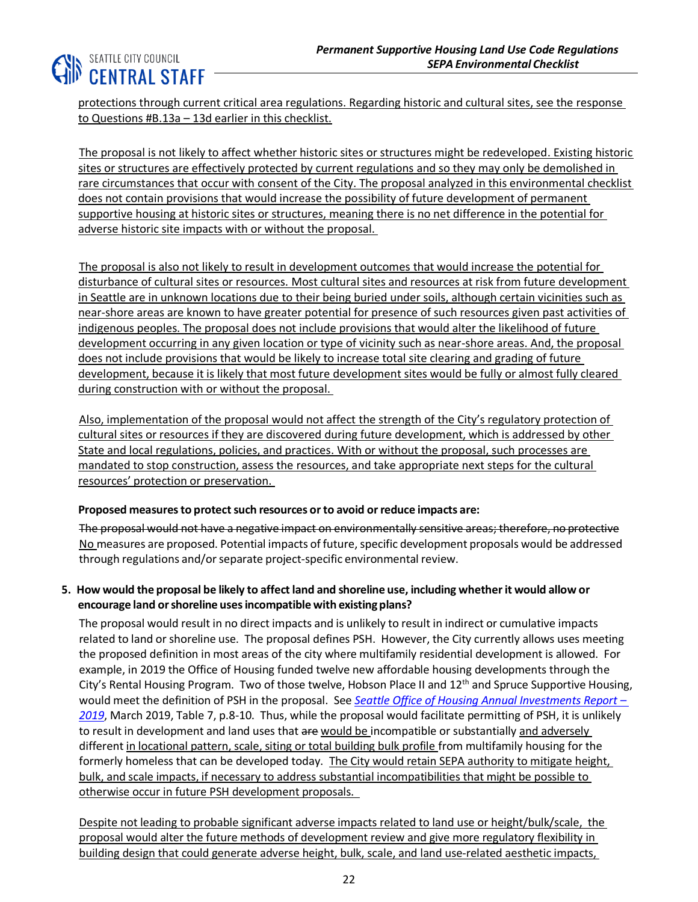## **CHIP SEATTLE CITY COUNCIL**<br>CENTRAL STAFF

protections through current critical area regulations. Regarding historic and cultural sites, see the response to Questions #B.13a – 13d earlier in this checklist.

The proposal is not likely to affect whether historic sites or structures might be redeveloped. Existing historic sites or structures are effectively protected by current regulations and so they may only be demolished in rare circumstances that occur with consent of the City. The proposal analyzed in this environmental checklist does not contain provisions that would increase the possibility of future development of permanent supportive housing at historic sites or structures, meaning there is no net difference in the potential for adverse historic site impacts with or without the proposal.

The proposal is also not likely to result in development outcomes that would increase the potential for disturbance of cultural sites or resources. Most cultural sites and resources at risk from future development in Seattle are in unknown locations due to their being buried under soils, although certain vicinities such as near-shore areas are known to have greater potential for presence of such resources given past activities of indigenous peoples. The proposal does not include provisions that would alter the likelihood of future development occurring in any given location or type of vicinity such as near-shore areas. And, the proposal does not include provisions that would be likely to increase total site clearing and grading of future development, because it is likely that most future development sites would be fully or almost fully cleared during construction with or without the proposal.

Also, implementation of the proposal would not affect the strength of the City's regulatory protection of cultural sites or resources if they are discovered during future development, which is addressed by other State and local regulations, policies, and practices. With or without the proposal, such processes are mandated to stop construction, assess the resources, and take appropriate next steps for the cultural resources' protection or preservation.

## **Proposed measures to protect such resources or to avoid or reduce impacts are:**

The proposal would not have a negative impact on environmentally sensitive areas; therefore, no protective No measures are proposed. Potential impacts of future, specific development proposals would be addressed through regulations and/orseparate project-specific environmental review.

## 5. How would the proposal be likely to affect land and shoreline use, including whether it would allow or **encourage land orshoreline usesincompatible with existing plans?**

The proposal would result in no direct impacts and is unlikely to result in indirect or cumulative impacts related to land or shoreline use. The proposal defines PSH. However, the City currently allows uses meeting the proposed definition in most areas of the city where multifamily residential development is allowed. For example, in 2019 the Office of Housing funded twelve new affordable housing developments through the City's Rental Housing Program. Two of those twelve, Hobson Place II and 12<sup>th</sup> and Spruce Supportive Housing, would meet the definition of PSH in the proposal. See *[Seattle Office of Housing Annual Investments Report](http://www.seattle.gov/Documents/Departments/Housing/Footer%20Pages/Data%20and%20Reports/2019%20Investments%20Report.pdf) – [2019](http://www.seattle.gov/Documents/Departments/Housing/Footer%20Pages/Data%20and%20Reports/2019%20Investments%20Report.pdf)*, March 2019, Table 7, p.8-10. Thus, while the proposal would facilitate permitting of PSH, it is unlikely to result in development and land uses that are would be incompatible or substantially and adversely different in locational pattern, scale, siting or total building bulk profile from multifamily housing for the formerly homeless that can be developed today. The City would retain SEPA authority to mitigate height, bulk, and scale impacts, if necessary to address substantial incompatibilities that might be possible to otherwise occur in future PSH development proposals.

Despite not leading to probable significant adverse impacts related to land use or height/bulk/scale, the proposal would alter the future methods of development review and give more regulatory flexibility in building design that could generate adverse height, bulk, scale, and land use-related aesthetic impacts,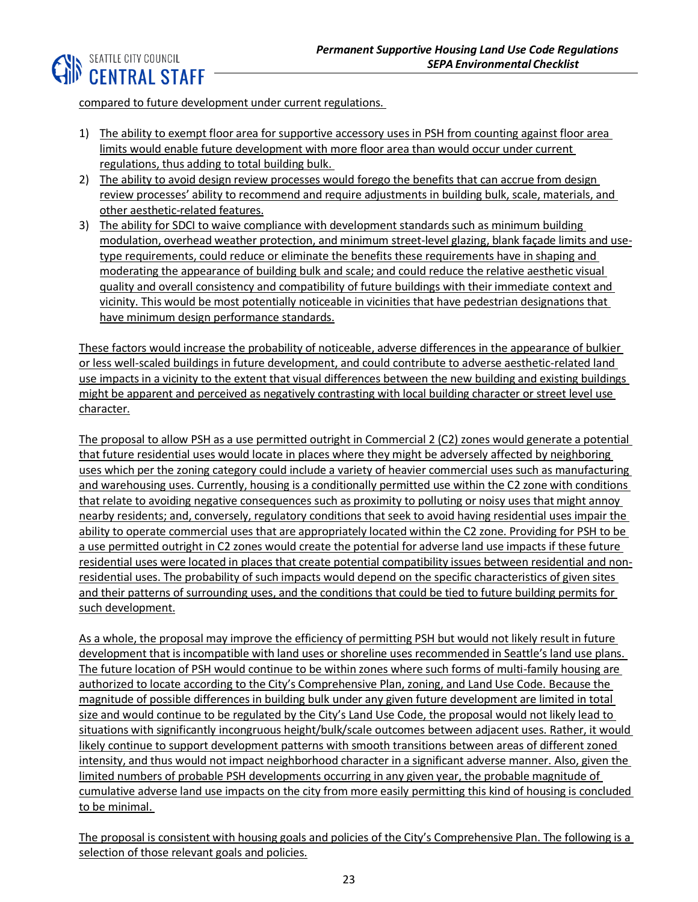

compared to future development under current regulations.

- 1) The ability to exempt floor area for supportive accessory uses in PSH from counting against floor area limits would enable future development with more floor area than would occur under current regulations, thus adding to total building bulk.
- 2) The ability to avoid design review processes would forego the benefits that can accrue from design review processes' ability to recommend and require adjustments in building bulk, scale, materials, and other aesthetic-related features.
- 3) The ability for SDCI to waive compliance with development standards such as minimum building modulation, overhead weather protection, and minimum street-level glazing, blank façade limits and usetype requirements, could reduce or eliminate the benefits these requirements have in shaping and moderating the appearance of building bulk and scale; and could reduce the relative aesthetic visual quality and overall consistency and compatibility of future buildings with their immediate context and vicinity. This would be most potentially noticeable in vicinities that have pedestrian designations that have minimum design performance standards.

These factors would increase the probability of noticeable, adverse differences in the appearance of bulkier or less well-scaled buildings in future development, and could contribute to adverse aesthetic-related land use impacts in a vicinity to the extent that visual differences between the new building and existing buildings might be apparent and perceived as negatively contrasting with local building character or street level use character.

The proposal to allow PSH as a use permitted outright in Commercial 2 (C2) zones would generate a potential that future residential uses would locate in places where they might be adversely affected by neighboring uses which per the zoning category could include a variety of heavier commercial uses such as manufacturing and warehousing uses. Currently, housing is a conditionally permitted use within the C2 zone with conditions that relate to avoiding negative consequences such as proximity to polluting or noisy uses that might annoy nearby residents; and, conversely, regulatory conditions that seek to avoid having residential uses impair the ability to operate commercial uses that are appropriately located within the C2 zone. Providing for PSH to be a use permitted outright in C2 zones would create the potential for adverse land use impacts if these future residential uses were located in places that create potential compatibility issues between residential and nonresidential uses. The probability of such impacts would depend on the specific characteristics of given sites and their patterns of surrounding uses, and the conditions that could be tied to future building permits for such development.

As a whole, the proposal may improve the efficiency of permitting PSH but would not likely result in future development that is incompatible with land uses or shoreline uses recommended in Seattle's land use plans. The future location of PSH would continue to be within zones where such forms of multi-family housing are authorized to locate according to the City's Comprehensive Plan, zoning, and Land Use Code. Because the magnitude of possible differences in building bulk under any given future development are limited in total size and would continue to be regulated by the City's Land Use Code, the proposal would not likely lead to situations with significantly incongruous height/bulk/scale outcomes between adjacent uses. Rather, it would likely continue to support development patterns with smooth transitions between areas of different zoned intensity, and thus would not impact neighborhood character in a significant adverse manner. Also, given the limited numbers of probable PSH developments occurring in any given year, the probable magnitude of cumulative adverse land use impacts on the city from more easily permitting this kind of housing is concluded to be minimal.

The proposal is consistent with housing goals and policies of the City's Comprehensive Plan. The following is a selection of those relevant goals and policies.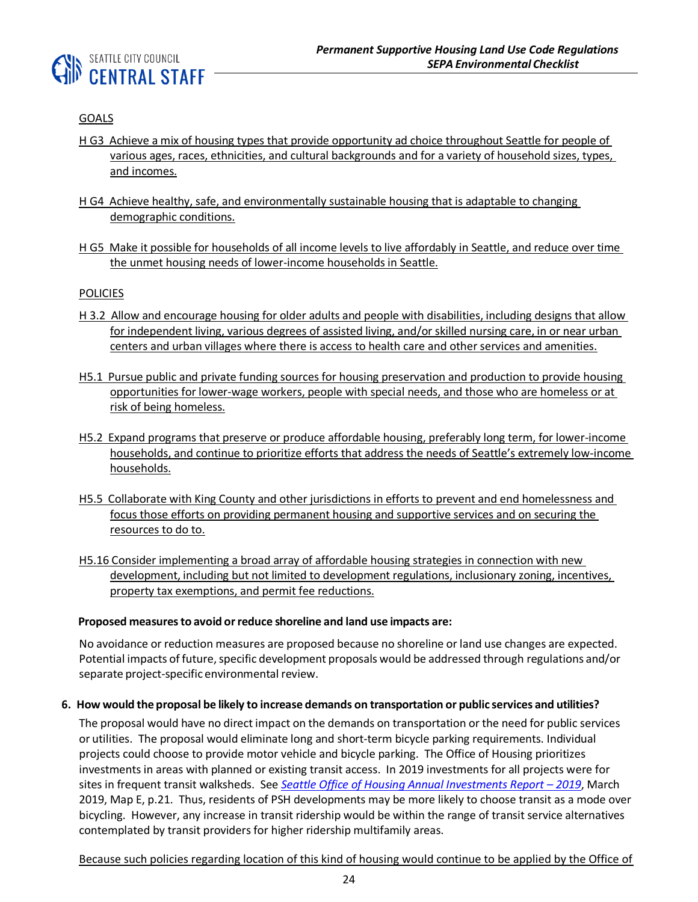

## GOALS

- H G3 Achieve a mix of housing types that provide opportunity ad choice throughout Seattle for people of various ages, races, ethnicities, and cultural backgrounds and for a variety of household sizes, types, and incomes.
- H G4 Achieve healthy, safe, and environmentally sustainable housing that is adaptable to changing demographic conditions.
- H G5 Make it possible for households of all income levels to live affordably in Seattle, and reduce over time the unmet housing needs of lower-income households in Seattle.

#### POLICIES

- H 3.2 Allow and encourage housing for older adults and people with disabilities, including designs that allow for independent living, various degrees of assisted living, and/or skilled nursing care, in or near urban centers and urban villages where there is access to health care and other services and amenities.
- H5.1 Pursue public and private funding sources for housing preservation and production to provide housing opportunities for lower-wage workers, people with special needs, and those who are homeless or at risk of being homeless.
- H5.2 Expand programs that preserve or produce affordable housing, preferably long term, for lower-income households, and continue to prioritize efforts that address the needs of Seattle's extremely low-income households.
- H5.5 Collaborate with King County and other jurisdictions in efforts to prevent and end homelessness and focus those efforts on providing permanent housing and supportive services and on securing the resources to do to.
- H5.16 Consider implementing a broad array of affordable housing strategies in connection with new development, including but not limited to development regulations, inclusionary zoning, incentives, property tax exemptions, and permit fee reductions.

#### **Proposed measuresto avoid orreduce shoreline and land use impacts are:**

No avoidance or reduction measures are proposed because no shoreline or land use changes are expected. Potential impacts of future, specific development proposals would be addressed through regulations and/or separate project-specific environmental review.

#### 6. How would the proposal be likely to increase demands on transportation or public services and utilities?

The proposal would have no direct impact on the demands on transportation or the need for public services or utilities. The proposal would eliminate long and short-term bicycle parking requirements. Individual projects could choose to provide motor vehicle and bicycle parking. The Office of Housing prioritizes investments in areas with planned or existing transit access. In 2019 investments for all projects were for sites in frequent transit walksheds. See *[Seattle Office of Housing Annual Investments Report](http://www.seattle.gov/Documents/Departments/Housing/Footer%20Pages/Data%20and%20Reports/2019%20Investments%20Report.pdf) - 2019*, March 2019, Map E, p.21. Thus, residents of PSH developments may be more likely to choose transit as a mode over bicycling. However, any increase in transit ridership would be within the range of transit service alternatives contemplated by transit providers for higher ridership multifamily areas.

Because such policies regarding location of this kind of housing would continue to be applied by the Office of